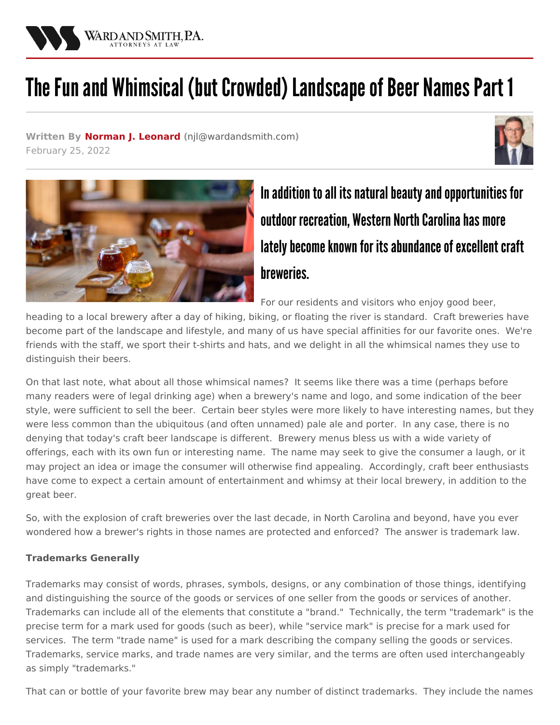

## The Fun and Whimsical (but Crowded) Landscape of Beer Names Part 1

**Written By Norman J. [Leonard](/attorneys/norman-leonard) (**[njl@wardandsmith.com](mailto:njl@wardandsmith.com)**)** February 25, 2022





In addition to all its natural beauty and opportunities for outdoor recreation, Western North Carolina has more lately become known for its abundance of excellent craft breweries.

For our residents and visitors who enjoy good beer,

heading to a local brewery after a day of hiking, biking, or floating the river is standard. Craft breweries have become part of the landscape and lifestyle, and many of us have special affinities for our favorite ones. We're friends with the staff, we sport their t-shirts and hats, and we delight in all the whimsical names they use to distinguish their beers.

On that last note, what about all those whimsical names? It seems like there was a time (perhaps before many readers were of legal drinking age) when a brewery's name and logo, and some indication of the beer style, were sufficient to sell the beer. Certain beer styles were more likely to have interesting names, but they were less common than the ubiquitous (and often unnamed) pale ale and porter. In any case, there is no denying that today's craft beer landscape is different. Brewery menus bless us with a wide variety of offerings, each with its own fun or interesting name. The name may seek to give the consumer a laugh, or it may project an idea or image the consumer will otherwise find appealing. Accordingly, craft beer enthusiasts have come to expect a certain amount of entertainment and whimsy at their local brewery, in addition to the great beer.

So, with the explosion of craft breweries over the last decade, in North Carolina and beyond, have you ever wondered how a brewer's rights in those names are protected and enforced? The answer is trademark law.

## **Trademarks Generally**

Trademarks may consist of words, phrases, symbols, designs, or any combination of those things, identifying and distinguishing the source of the goods or services of one seller from the goods or services of another. Trademarks can include all of the elements that constitute a "brand." Technically, the term "trademark" is the precise term for a mark used for goods (such as beer), while "service mark" is precise for a mark used for services. The term "trade name" is used for a mark describing the company selling the goods or services. Trademarks, service marks, and trade names are very similar, and the terms are often used interchangeably as simply "trademarks."

That can or bottle of your favorite brew may bear any number of distinct trademarks. They include the names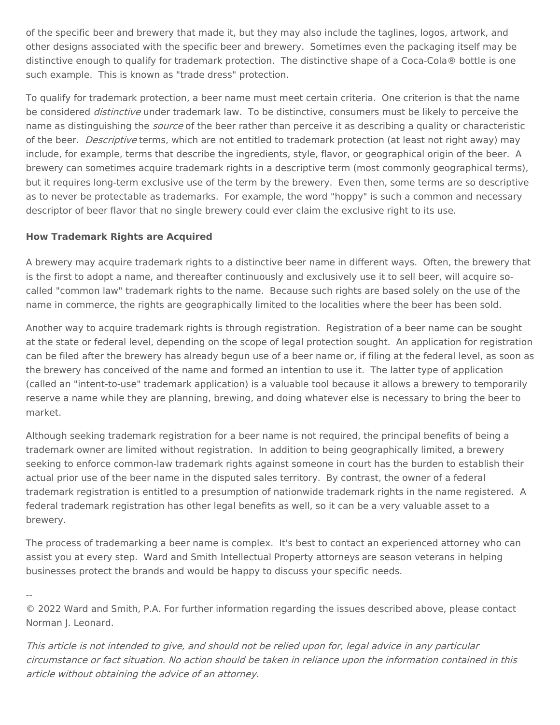of the specific beer and brewery that made it, but they may also include the taglines, logos, artwork, and other designs associated with the specific beer and brewery. Sometimes even the packaging itself may be distinctive enough to qualify for trademark protection. The distinctive shape of a Coca-Cola® bottle is one such example. This is known as "trade dress" protection.

To qualify for trademark protection, a beer name must meet certain criteria. One criterion is that the name be considered *distinctive* under trademark law. To be distinctive, consumers must be likely to perceive the name as distinguishing the *source* of the beer rather than perceive it as describing a quality or characteristic of the beer. *Descriptive* terms, which are not entitled to trademark protection (at least not right away) may include, for example, terms that describe the ingredients, style, flavor, or geographical origin of the beer. A brewery can sometimes acquire trademark rights in a descriptive term (most commonly geographical terms), but it requires long-term exclusive use of the term by the brewery. Even then, some terms are so descriptive as to never be protectable as trademarks. For example, the word "hoppy" is such a common and necessary descriptor of beer flavor that no single brewery could ever claim the exclusive right to its use.

## **How Trademark Rights are Acquired**

A brewery may acquire trademark rights to a distinctive beer name in different ways. Often, the brewery that is the first to adopt a name, and thereafter continuously and exclusively use it to sell beer, will acquire socalled "common law" trademark rights to the name. Because such rights are based solely on the use of the name in commerce, the rights are geographically limited to the localities where the beer has been sold.

Another way to acquire trademark rights is through registration. Registration of a beer name can be sought at the state or federal level, depending on the scope of legal protection sought. An application for registration can be filed after the brewery has already begun use of a beer name or, if filing at the federal level, as soon as the brewery has conceived of the name and formed an intention to use it. The latter type of application (called an "intent-to-use" trademark application) is a valuable tool because it allows a brewery to temporarily reserve a name while they are planning, brewing, and doing whatever else is necessary to bring the beer to market.

Although seeking trademark registration for a beer name is not required, the principal benefits of being a trademark owner are limited without registration. In addition to being geographically limited, a brewery seeking to enforce common-law trademark rights against someone in court has the burden to establish their actual prior use of the beer name in the disputed sales territory. By contrast, the owner of a federal trademark registration is entitled to a presumption of nationwide trademark rights in the name registered. A federal trademark registration has other legal benefits as well, so it can be a very valuable asset to a brewery.

The process of trademarking a beer name is complex. It's best to contact an experienced attorney who can assist you at every step. Ward and Smith [Intellectual](/practice-areas/intellectual-property) Property attorneys are season veterans in helping businesses protect the brands and would be happy to discuss your specific needs.

--

© 2022 Ward and Smith, P.A. For further information regarding the issues described above, please contact [Norman](/attorneys/norman-leonard) J. Leonard.

This article is not intended to give, and should not be relied upon for, legal advice in any particular circumstance or fact situation. No action should be taken in reliance upon the information contained in this article without obtaining the advice of an attorney.